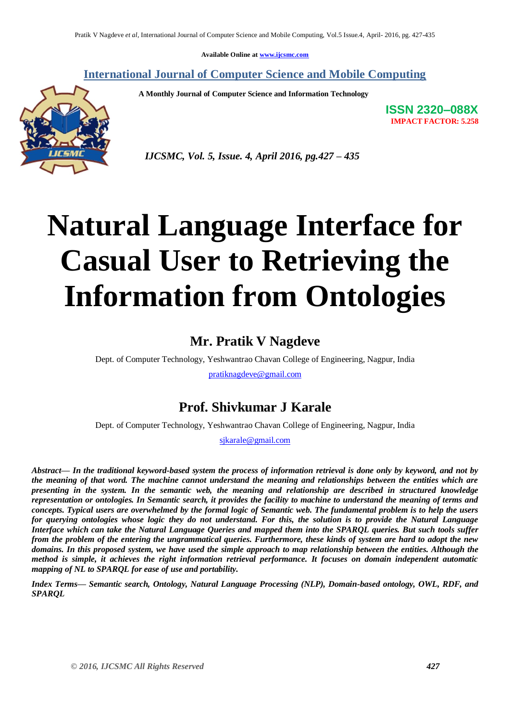**Available Online at [www.ijcsmc.com](http://www.ijcsmc.com/)**

**International Journal of Computer Science and Mobile Computing**

 **A Monthly Journal of Computer Science and Information Technology**



**ISSN 2320–088X IMPACT FACTOR: 5.258**

 *IJCSMC, Vol. 5, Issue. 4, April 2016, pg.427 – 435*

# **Natural Language Interface for Casual User to Retrieving the Information from Ontologies**

# **Mr. Pratik V Nagdeve**

Dept. of Computer Technology, Yeshwantrao Chavan College of Engineering, Nagpur, India

[pratiknagdeve@gmail.com](mailto:pratiknagdeve@gmail.com)

# **Prof. Shivkumar J Karale**

Dept. of Computer Technology, Yeshwantrao Chavan College of Engineering, Nagpur, India

[sjkarale@gmail.com](mailto:sjkarale@gmail.com)

*Abstract— In the traditional keyword-based system the process of information retrieval is done only by keyword, and not by the meaning of that word. The machine cannot understand the meaning and relationships between the entities which are presenting in the system. In the semantic web, the meaning and relationship are described in structured knowledge representation or ontologies. In Semantic search, it provides the facility to machine to understand the meaning of terms and concepts. Typical users are overwhelmed by the formal logic of Semantic web. The fundamental problem is to help the users for querying ontologies whose logic they do not understand. For this, the solution is to provide the Natural Language Interface which can take the Natural Language Queries and mapped them into the SPARQL queries. But such tools suffer from the problem of the entering the ungrammatical queries. Furthermore, these kinds of system are hard to adopt the new domains. In this proposed system, we have used the simple approach to map relationship between the entities. Although the method is simple, it achieves the right information retrieval performance. It focuses on domain independent automatic mapping of NL to SPARQL for ease of use and portability.*

*Index Terms— Semantic search, Ontology, Natural Language Processing (NLP), Domain-based ontology, OWL, RDF, and SPARQL*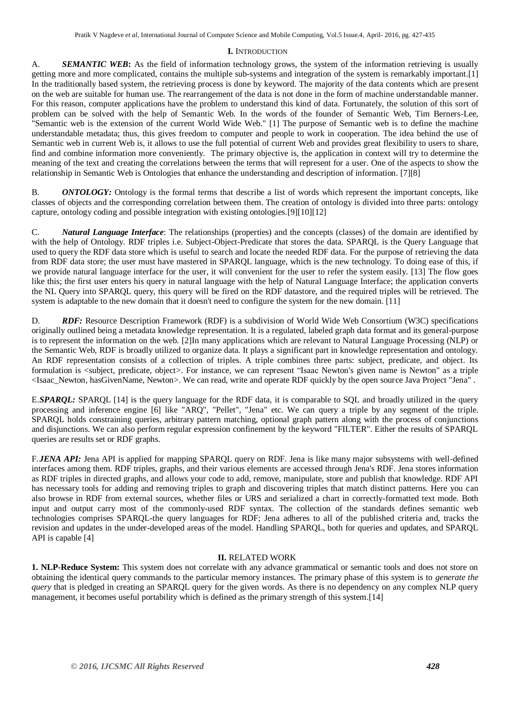### **I.** INTRODUCTION

A. *SEMANTIC WEB***:** As the field of information technology grows, the system of the information retrieving is usually getting more and more complicated, contains the multiple sub-systems and integration of the system is remarkably important.[1] In the traditionally based system, the retrieving process is done by keyword. The majority of the data contents which are present on the web are suitable for human use. The rearrangement of the data is not done in the form of machine understandable manner. For this reason, computer applications have the problem to understand this kind of data. Fortunately, the solution of this sort of problem can be solved with the help of Semantic Web. In the words of the founder of Semantic Web, Tim Berners-Lee, "Semantic web is the extension of the current World Wide Web." [1] The purpose of Semantic web is to define the machine understandable metadata; thus, this gives freedom to computer and people to work in cooperation. The idea behind the use of Semantic web in current Web is, it allows to use the full potential of current Web and provides great flexibility to users to share, find and combine information more conveniently. The primary objective is, the application in context will try to determine the meaning of the text and creating the correlations between the terms that will represent for a user. One of the aspects to show the relationship in Semantic Web is Ontologies that enhance the understanding and description of information. [7][8]

B. *ONTOLOGY:* Ontology is the formal terms that describe a list of words which represent the important concepts, like classes of objects and the corresponding correlation between them. The creation of ontology is divided into three parts: ontology capture, ontology coding and possible integration with existing ontologies.[9][10][12]

C. *Natural Language Interface*: The relationships (properties) and the concepts (classes) of the domain are identified by with the help of Ontology. RDF triples i.e. Subject-Object-Predicate that stores the data. SPARQL is the Query Language that used to query the RDF data store which is useful to search and locate the needed RDF data. For the purpose of retrieving the data from RDF data store; the user must have mastered in SPARQL language, which is the new technology. To doing ease of this, if we provide natural language interface for the user, it will convenient for the user to refer the system easily. [13] The flow goes like this; the first user enters his query in natural language with the help of Natural Language Interface; the application converts the NL Query into SPARQL query, this query will be fired on the RDF datastore, and the required triples will be retrieved. The system is adaptable to the new domain that it doesn't need to configure the system for the new domain. [11]

D. **RDF:** Resource Description Framework (RDF) is a subdivision of World Wide Web Consortium (W3C) specifications originally outlined being a metadata knowledge representation. It is a regulated, labeled graph data format and its general-purpose is to represent the information on the web. [2]In many applications which are relevant to Natural Language Processing (NLP) or the Semantic Web, RDF is broadly utilized to organize data. It plays a significant part in knowledge representation and ontology. An RDF representation consists of a collection of triples. A triple combines three parts: subject, predicate, and object. Its formulation is <subject, predicate, object>. For instance, we can represent "Isaac Newton's given name is Newton" as a triple <Isaac\_Newton, hasGivenName, Newton>. We can read, write and operate RDF quickly by the open source Java Project "Jena" .

E.**SPAROL:** SPAROL [14] is the query language for the RDF data, it is comparable to SOL and broadly utilized in the query processing and inference engine [6] like "ARQ", "Pellet", "Jena" etc. We can query a triple by any segment of the triple. SPARQL holds constraining queries, arbitrary pattern matching, optional graph pattern along with the process of conjunctions and disjunctions. We can also perform regular expression confinement by the keyword "FILTER". Either the results of SPARQL queries are results set or RDF graphs.

F.*JENA API***:** Jena API is applied for mapping SPARQL query on RDF. Jena is like many major subsystems with well-defined interfaces among them. RDF triples, graphs, and their various elements are accessed through Jena's RDF. Jena stores information as RDF triples in directed graphs, and allows your code to add, remove, manipulate, store and publish that knowledge. RDF API has necessary tools for adding and removing triples to graph and discovering triples that match distinct patterns. Here you can also browse in RDF from external sources, whether files or URS and serialized a chart in correctly-formatted text mode. Both input and output carry most of the commonly-used RDF syntax. The collection of the standards defines semantic web technologies comprises SPARQL-the query languages for RDF; Jena adheres to all of the published criteria and, tracks the revision and updates in the under-developed areas of the model. Handling SPARQL, both for queries and updates, and SPARQL API is capable [4]

# **II.** RELATED WORK

**1. NLP-Reduce System:** This system does not correlate with any advance grammatical or semantic tools and does not store on obtaining the identical query commands to the particular memory instances. The primary phase of this system is to *generate the query* that is pledged in creating an SPARQL query for the given words. As there is no dependency on any complex NLP query management, it becomes useful portability which is defined as the primary strength of this system.[14]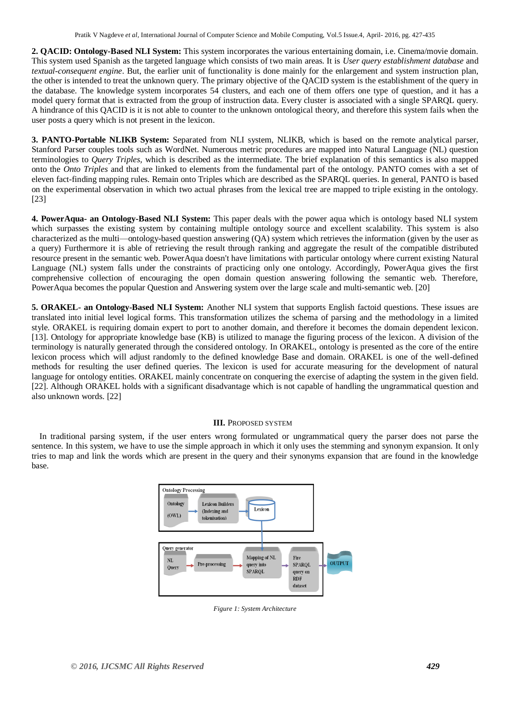**2. QACID: Ontology-Based NLI System:** This system incorporates the various entertaining domain, i.e. Cinema/movie domain. This system used Spanish as the targeted language which consists of two main areas. It is *User query establishment database* and *textual-consequent engine*. But, the earlier unit of functionality is done mainly for the enlargement and system instruction plan, the other is intended to treat the unknown query. The primary objective of the QACID system is the establishment of the query in the database. The knowledge system incorporates 54 clusters, and each one of them offers one type of question, and it has a model query format that is extracted from the group of instruction data. Every cluster is associated with a single SPARQL query. A hindrance of this QACID is it is not able to counter to the unknown ontological theory, and therefore this system fails when the user posts a query which is not present in the lexicon.

**3. PANTO-Portable NLIKB System:** Separated from NLI system, NLIKB, which is based on the remote analytical parser, Stanford Parser couples tools such as WordNet. Numerous metric procedures are mapped into Natural Language (NL) question terminologies to *Query Triples,* which is described as the intermediate. The brief explanation of this semantics is also mapped onto the *Onto Triples* and that are linked to elements from the fundamental part of the ontology. PANTO comes with a set of eleven fact-finding mapping rules. Remain onto Triples which are described as the SPARQL queries. In general, PANTO is based on the experimental observation in which two actual phrases from the lexical tree are mapped to triple existing in the ontology. [23]

**4. PowerAqua- an Ontology-Based NLI System:** This paper deals with the power aqua which is ontology based NLI system which surpasses the existing system by containing multiple ontology source and excellent scalability. This system is also characterized as the multi—ontology-based question answering (QA) system which retrieves the information (given by the user as a query) Furthermore it is able of retrieving the result through ranking and aggregate the result of the compatible distributed resource present in the semantic web. PowerAqua doesn't have limitations with particular ontology where current existing Natural Language (NL) system falls under the constraints of practicing only one ontology. Accordingly, PowerAqua gives the first comprehensive collection of encouraging the open domain question answering following the semantic web. Therefore, PowerAqua becomes the popular Question and Answering system over the large scale and multi-semantic web. [20]

**5. ORAKEL- an Ontology-Based NLI System:** Another NLI system that supports English factoid questions. These issues are translated into initial level logical forms. This transformation utilizes the schema of parsing and the methodology in a limited style. ORAKEL is requiring domain expert to port to another domain, and therefore it becomes the domain dependent lexicon. [13]. Ontology for appropriate knowledge base (KB) is utilized to manage the figuring process of the lexicon. A division of the terminology is naturally generated through the considered ontology. In ORAKEL, ontology is presented as the core of the entire lexicon process which will adjust randomly to the defined knowledge Base and domain. ORAKEL is one of the well-defined methods for resulting the user defined queries. The lexicon is used for accurate measuring for the development of natural language for ontology entities. ORAKEL mainly concentrate on conquering the exercise of adapting the system in the given field. [22]. Although ORAKEL holds with a significant disadvantage which is not capable of handling the ungrammatical question and also unknown words. [22]

#### **III.** PROPOSED SYSTEM

In traditional parsing system, if the user enters wrong formulated or ungrammatical query the parser does not parse the sentence. In this system, we have to use the simple approach in which it only uses the stemming and synonym expansion. It only tries to map and link the words which are present in the query and their synonyms expansion that are found in the knowledge base.



*Figure 1: System Architecture*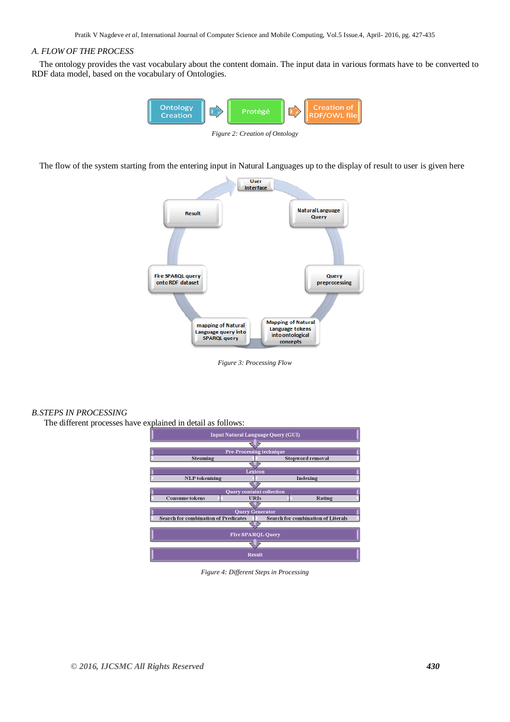## *A. FLOW OF THE PROCESS*

The ontology provides the vast vocabulary about the content domain. The input data in various formats have to be converted to RDF data model, based on the vocabulary of Ontologies.



The flow of the system starting from the entering input in Natural Languages up to the display of result to user is given here



*Figure 3: Processing Flow*

#### *B.STEPS IN PROCESSING*

The different processes have explained in detail as follows:



*Figure 4: Different Steps in Processing*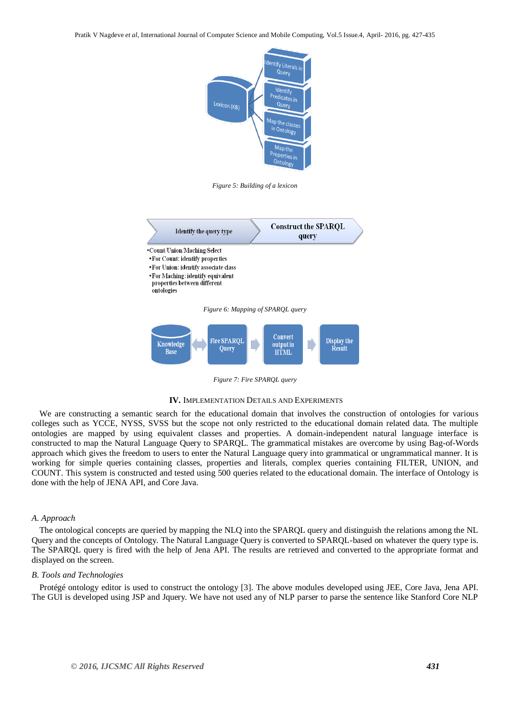

*Figure 5: Building of a lexicon*



*Figure 7: Fire SPARQL query*

#### **IV.** IMPLEMENTATION DETAILS AND EXPERIMENTS

We are constructing a semantic search for the educational domain that involves the construction of ontologies for various colleges such as YCCE, NYSS, SVSS but the scope not only restricted to the educational domain related data. The multiple ontologies are mapped by using equivalent classes and properties. A domain-independent natural language interface is constructed to map the Natural Language Query to SPARQL. The grammatical mistakes are overcome by using Bag-of-Words approach which gives the freedom to users to enter the Natural Language query into grammatical or ungrammatical manner. It is working for simple queries containing classes, properties and literals, complex queries containing FILTER, UNION, and COUNT. This system is constructed and tested using 500 queries related to the educational domain. The interface of Ontology is done with the help of JENA API, and Core Java.

#### *A. Approach*

The ontological concepts are queried by mapping the NLQ into the SPARQL query and distinguish the relations among the NL Query and the concepts of Ontology. The Natural Language Query is converted to SPARQL-based on whatever the query type is. The SPARQL query is fired with the help of Jena API. The results are retrieved and converted to the appropriate format and displayed on the screen.

#### *B. Tools and Technologies*

Protégé ontology editor is used to construct the ontology [3]. The above modules developed using JEE, Core Java, Jena API. The GUI is developed using JSP and Jquery. We have not used any of NLP parser to parse the sentence like Stanford Core NLP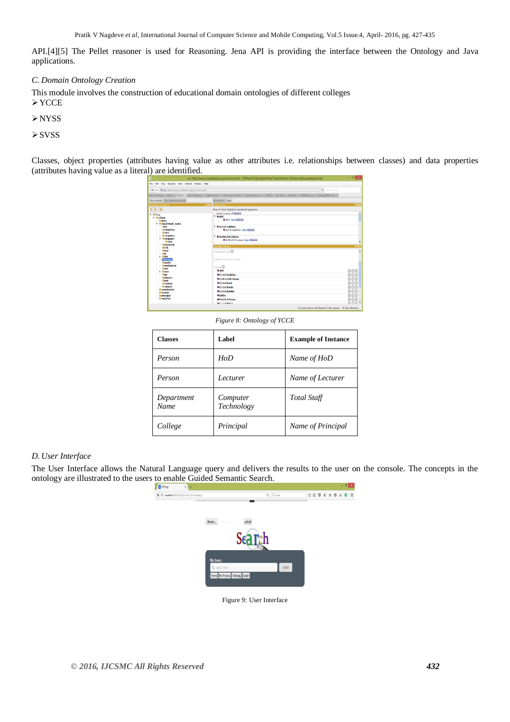API.[4][5] The Pellet reasoner is used for Reasoning. Jena API is providing the interface between the Ontology and Java applications.

## *C. Domain Ontology Creation*

This module involves the construction of educational domain ontologies of different colleges **≻YCCE** 

NYSS

**≻SVSS** 

Classes, object properties (attributes having value as other attributes i.e. relationships between classes) and data properties (attributes having value as a literal) are identified.

| $\blacksquare$                                                               | ycc (http://www.yccedatabase.org/yccerecord.owl) : (G:\Mtech Project\New Phase Project\Version 0.6\res\mydb\yccedatabase.owl)                                                                              | $   -$                   |
|------------------------------------------------------------------------------|------------------------------------------------------------------------------------------------------------------------------------------------------------------------------------------------------------|--------------------------|
| File Edit View Ressoner Tools Refactor Window Help                           |                                                                                                                                                                                                            |                          |
| → → vcc http://www.yccedatabase.org/yccerecord.owl)                          |                                                                                                                                                                                                            | Search for entity        |
|                                                                              | Active Ontology x Entities x Classes x Object Properties x Data Properties x Annotation Properties x Individuals by class x   OWLViz x   DL Query x   OntoGraf x   SPAROL Query x   Ontology Differences x |                          |
| Class hierarchy Class hierarchy (inferred)                                   | Annotations Usage                                                                                                                                                                                          |                          |
| <b>Jass Nerarchy: lecturer</b>                                               | <b>HHK</b><br><b>Usepe lecture</b>                                                                                                                                                                         | 菜具業                      |
| 智学员                                                                          | Show: V this v disjoints v named sub/superclasses                                                                                                                                                          |                          |
|                                                                              | Found 13 uses of lecturer                                                                                                                                                                                  | $\hat{\phantom{a}}$      |
| <b>V</b> OThing<br>$v - 0$ college<br>· O dean<br><b>Y-O Department</b> name | $v$ + abhi<br>· abhi Type lecturer                                                                                                                                                                         |                          |
| $-$ Obe<br><b>O</b> chemistry<br>$-0$ civil                                  | <sup>V</sup> ● Dr.A.R.Gaibhive<br><b>Or.A.R.Gaibhive Type lecturer</b>                                                                                                                                     |                          |
| - Compilers<br>$V - 0$ computer<br>$-0 DAA$                                  | <sup>†</sup> <b>+</b> Dr.Mrs.N.M.Limaye<br><b>Or Mrs.N.M.Limaye Type lecturer</b>                                                                                                                          |                          |
| <b>O</b> electronic<br>$0$ ESE                                               | <b>Description: lecturer</b>                                                                                                                                                                               | <b>BHK</b>               |
| $-0$ hod<br>- e a<br>i Olab                                                  | General class asions                                                                                                                                                                                       | $\overline{\phantom{a}}$ |
| <b>Olecturer</b><br><b>O</b> maths<br><b>O</b> mechanical                    | SubClass Of (Assessmous Ancestor)                                                                                                                                                                          |                          |
| $-0$ mis                                                                     | Interces CD                                                                                                                                                                                                |                          |
| $h = 0$ mse                                                                  | <b>+</b> abhi                                                                                                                                                                                              | 000                      |
| 0 <sub>100</sub><br>- Ophysics                                               | <b>Or.A.R.Gajbhiye</b>                                                                                                                                                                                     | 000                      |
| $-0$ pnd                                                                     | <b>Or.Mrs.N.M.Limaye</b>                                                                                                                                                                                   | 000                      |
| <b>O</b> student                                                             | <b>◆Dr.S.A.Band</b>                                                                                                                                                                                        | 000                      |
| - O subject<br>· examination                                                 | <b>Or.S.A.Bandu</b>                                                                                                                                                                                        | 000                      |
| <sup>0</sup> founder                                                         | <b>Or.S.A.Banduu</b>                                                                                                                                                                                       | 000                      |
| <b>O</b> principal                                                           | <b><i><u>*</u></i></b> iaidev                                                                                                                                                                              | 000                      |
| <b>O</b> registrar                                                           | <b>+Prof.M.S.Pawar</b>                                                                                                                                                                                     | 000                      |
|                                                                              | <b>AC 1 VADALE</b>                                                                                                                                                                                         | 0.007                    |

#### *Figure 8: Ontology of YCCE*

| <b>Classes</b>     | Label                  | <b>Example of Instance</b> |
|--------------------|------------------------|----------------------------|
| Person             | HoD                    | Name of HoD                |
| Person             | Lecturer               | Name of Lecturer           |
| Department<br>Name | Computer<br>Technology | <b>Total Staff</b>         |
| College            | Principal              | Name of Principal          |

#### *D. User Interface*

The User Interface allows the Natural Language query and delivers the results to the user on the console. The concepts in the ontology are illustrated to the users to enable Guided Semantic Search.



Figure 9: User Interface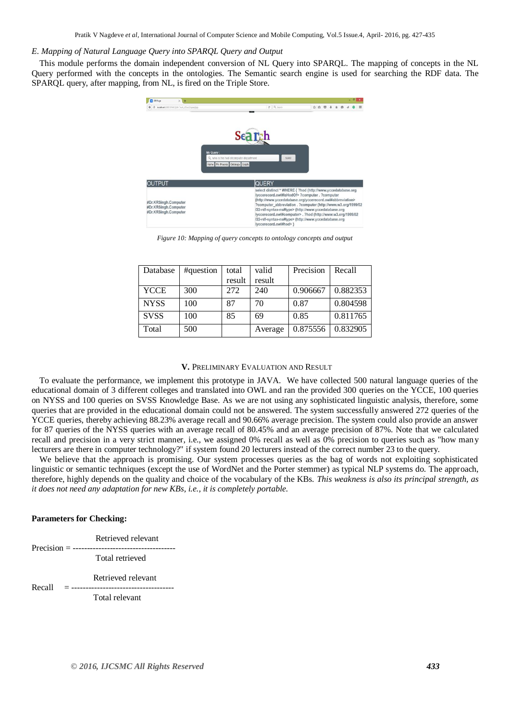### *E. Mapping of Natural Language Query into SPARQL Query and Output*

This module performs the domain independent conversion of NL Query into SPARQL. The mapping of concepts in the NL Query performed with the concepts in the ontologies. The Semantic search engine is used for searching the RDF data. The SPARQL query, after mapping, from NL, is fired on the Triple Store.



*Figure 10: Mapping of query concepts to ontology concepts and output*

| Database    | #question | total  | valid   | Precision | Recall   |
|-------------|-----------|--------|---------|-----------|----------|
|             |           | result | result  |           |          |
| <b>YCCE</b> | 300       | 272    | 240     | 0.906667  | 0.882353 |
| <b>NYSS</b> | 100       | 87     | 70      | 0.87      | 0.804598 |
| <b>SVSS</b> | 100       | 85     | 69      | 0.85      | 0.811765 |
| Total       | 500       |        | Average | 0.875556  | 0.832905 |

#### **V.** PRELIMINARY EVALUATION AND RESULT

To evaluate the performance, we implement this prototype in JAVA. We have collected 500 natural language queries of the educational domain of 3 different colleges and translated into OWL and ran the provided 300 queries on the YCCE, 100 queries on NYSS and 100 queries on SVSS Knowledge Base. As we are not using any sophisticated linguistic analysis, therefore, some queries that are provided in the educational domain could not be answered. The system successfully answered 272 queries of the YCCE queries, thereby achieving 88.23% average recall and 90.66% average precision. The system could also provide an answer for 87 queries of the NYSS queries with an average recall of 80.45% and an average precision of 87%. Note that we calculated recall and precision in a very strict manner, i.e., we assigned 0% recall as well as 0% precision to queries such as "how many lecturers are there in computer technology?" if system found 20 lecturers instead of the correct number 23 to the query.

We believe that the approach is promising. Our system processes queries as the bag of words not exploiting sophisticated linguistic or semantic techniques (except the use of WordNet and the Porter stemmer) as typical NLP systems do. The approach, therefore, highly depends on the quality and choice of the vocabulary of the KBs. *This weakness is also its principal strength, as it does not need any adaptation for new KBs, i.e., it is completely portable.* 

#### **Parameters for Checking:**

 Retrieved relevant Precision = ------------------------------------ Total retrieved

Retrieved relevant

 $Recall = --- -$ Total relevant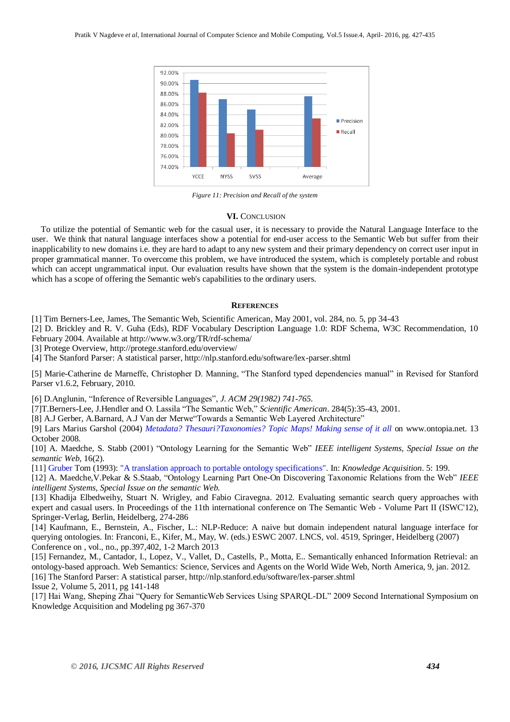

*Figure 11: Precision and Recall of the system*

#### **VI.** CONCLUSION

To utilize the potential of Semantic web for the casual user, it is necessary to provide the Natural Language Interface to the user. We think that natural language interfaces show a potential for end-user access to the Semantic Web but suffer from their inapplicability to new domains i.e. they are hard to adapt to any new system and their primary dependency on correct user input in proper grammatical manner. To overcome this problem, we have introduced the system, which is completely portable and robust which can accept ungrammatical input. Our evaluation results have shown that the system is the domain-independent prototype which has a scope of offering the Semantic web's capabilities to the ordinary users.

#### **REFERENCES**

[1] Tim Berners-Lee, James, The Semantic Web, Scientific American, May 2001, vol. 284, no. 5, pp 34-43

[2] D. Brickley and R. V. Guha (Eds), RDF Vocabulary Description Language 1.0: RDF Schema, W3C Recommendation, 10 February 2004. Available at http://www.w3.org/TR/rdf-schema/

[3] Protege Overview, http://protege.stanford.edu/overview/

[4] The Stanford Parser: A statistical parser, http://nlp.stanford.edu/software/lex-parser.shtml

[5] Marie-Catherine de Marneffe, Christopher D. Manning, "The Stanford typed dependencies manual" in Revised for Stanford Parser v1.6.2, February, 2010.

[6] D.Anglunin, "Inference of Reversible Languages", *J. ACM 29(1982) 741-765.* 

[7]T.Berners-Lee, J.Hendler and O. Lassila "The Semantic Web," *Scientific American*, 284(5):35-43, 2001.

[8] A.J Gerber, A.Barnard, A.J Van der Merwe"Towards a Semantic Web Layered Architecture"

[9] Lars Marius Garshol (2004) *Metadata? Thesauri?Taxonomies? Topic Maps! Making sense of it all* on www.ontopia.net. 13 October 2008.

[10] A. Maedche, S. Stabb (2001) "Ontology Learning for the Semantic Web" *IEEE intelligent Systems, Special Issue on the semantic Web,* 16(2).

[11] Gruber Tom (1993): "A translation approach to portable ontology specifications". In: *Knowledge Acquisition*. 5: 199.

[12] A. Maedche, V.Pekar & S.Staab, "Ontology Learning Part One-On Discovering Taxonomic Relations from the Web" *IEEE intelligent Systems, Special Issue on the semantic Web.*

[13] Khadija Elbedweihy, Stuart N. Wrigley, and Fabio Ciravegna. 2012. Evaluating semantic search query approaches with expert and casual users. In Proceedings of the 11th international conference on The Semantic Web - Volume Part II (ISWC'12), Springer-Verlag, Berlin, Heidelberg, 274-286

[14] Kaufmann, E., Bernstein, A., Fischer, L.: NLP-Reduce: A naive but domain independent natural language interface for querying ontologies. In: Franconi, E., Kifer, M., May, W. (eds.) ESWC 2007. LNCS, vol. 4519, Springer, Heidelberg (2007) Conference on , vol., no., pp.397,402, 1-2 March 2013

[15] Fernandez, M., Cantador, I., Lopez, V., Vallet, D., Castells, P., Motta, E.. Semantically enhanced Information Retrieval: an ontology-based approach. Web Semantics: Science, Services and Agents on the World Wide Web, North America, 9, jan. 2012. [16] The Stanford Parser: A statistical parser, http://nlp.stanford.edu/software/lex-parser.shtml

Issue 2, Volume 5, 2011, pg 141-148

[17] Hai Wang, Sheping Zhai "Query for SemanticWeb Services Using SPARQL-DL" 2009 Second International Symposium on Knowledge Acquisition and Modeling pg 367-370